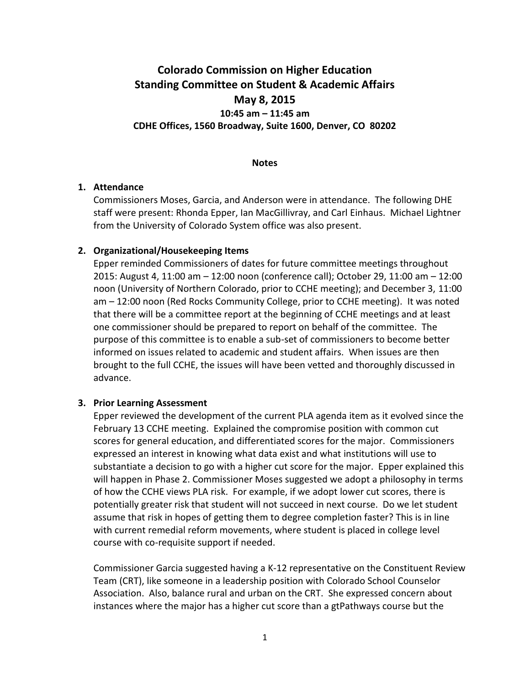# **Colorado Commission on Higher Education Standing Committee on Student & Academic Affairs May 8, 2015**

### **10:45 am – 11:45 am CDHE Offices, 1560 Broadway, Suite 1600, Denver, CO 80202**

#### **Notes**

#### **1. Attendance**

Commissioners Moses, Garcia, and Anderson were in attendance. The following DHE staff were present: Rhonda Epper, Ian MacGillivray, and Carl Einhaus. Michael Lightner from the University of Colorado System office was also present.

#### **2. Organizational/Housekeeping Items**

Epper reminded Commissioners of dates for future committee meetings throughout 2015: August 4, 11:00 am – 12:00 noon (conference call); October 29, 11:00 am – 12:00 noon (University of Northern Colorado, prior to CCHE meeting); and December 3, 11:00 am – 12:00 noon (Red Rocks Community College, prior to CCHE meeting). It was noted that there will be a committee report at the beginning of CCHE meetings and at least one commissioner should be prepared to report on behalf of the committee. The purpose of this committee is to enable a sub-set of commissioners to become better informed on issues related to academic and student affairs. When issues are then brought to the full CCHE, the issues will have been vetted and thoroughly discussed in advance.

#### **3. Prior Learning Assessment**

Epper reviewed the development of the current PLA agenda item as it evolved since the February 13 CCHE meeting. Explained the compromise position with common cut scores for general education, and differentiated scores for the major. Commissioners expressed an interest in knowing what data exist and what institutions will use to substantiate a decision to go with a higher cut score for the major. Epper explained this will happen in Phase 2. Commissioner Moses suggested we adopt a philosophy in terms of how the CCHE views PLA risk. For example, if we adopt lower cut scores, there is potentially greater risk that student will not succeed in next course. Do we let student assume that risk in hopes of getting them to degree completion faster? This is in line with current remedial reform movements, where student is placed in college level course with co-requisite support if needed.

Commissioner Garcia suggested having a K-12 representative on the Constituent Review Team (CRT), like someone in a leadership position with Colorado School Counselor Association. Also, balance rural and urban on the CRT. She expressed concern about instances where the major has a higher cut score than a gtPathways course but the